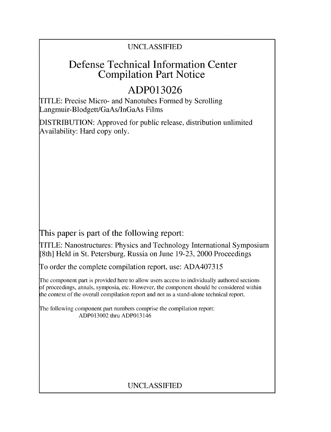### UNCLASSIFIED

## Defense Technical Information Center Compilation Part Notice

# **ADP013026**

TITLE: Precise Micro- and Nanotubes Formed by Scrolling Langmuir-Blodgett/GaAs/InGaAs Films

DISTRIBUTION: Approved for public release, distribution unlimited Availability: Hard copy only.

This paper is part of the following report:

TITLE: Nanostructures: Physics and Technology International Symposium [8th] Held in St. Petersburg, Russia on June 19-23, 2000 Proceedings

To order the complete compilation report, use: ADA407315

The component part is provided here to allow users access to individually authored sections f proceedings, annals, symposia, etc. However, the component should be considered within the context of the overall compilation report and not as a stand-alone technical report.

The following component part numbers comprise the compilation report: ADP013002 thru ADP013146

### UNCLASSIFIED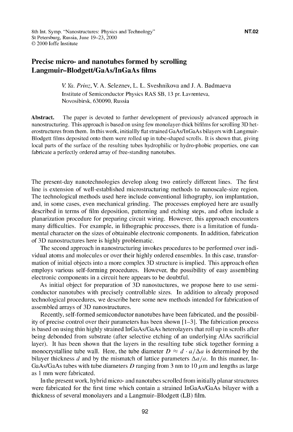*V Ya. Prinz,* V. A. Seleznev, L. L. Sveshnikova and J. A. Badmaeva Institute of Semiconductor Physics RAS SB, 13 pr. Lavrenteva, Novosibirsk, 630090, Russia

Abstract. The paper is devoted to further development of previously advanced approach in nanostructuring. This approach is based on using few monolayer-thick bifilms for scrolling 3D heterostructures from them. In this work, initiallly flat strained GaAs/InGaAs bilayers with Langmuir-Blodgett films deposited onto them were rolled up in tube-shaped scrolls. It is shown that, giving local parts of the surface of the resulting tubes hydrophilic or hydro-phobic properties, one can fabricate a perfectly ordered array of free-standing nanotubes.

The present-day nanotechnologies develop along two entirely different lines. The first line is extension of well-established microstructuring methods to nanoscale-size region. The technological methods used here include conventional lithography, ion implantation, and, in some cases, even mechanical grinding. The processes employed here are usually described in terms of film deposition, patterning and etching steps, and often include a planarization procedure for preparing circuit wiring. However, this approach encounters many difficulties. For example, in lithographic processes, there is a limitation of fundamental character on the sizes of obtainable electronic components. In addition, fabrication of 3D nanostructures here is highly problematic.

The second approach in nanostructuring invokes procedures to be performed over individual atoms and molecules or over their highly ordered ensembles. In this case, transformation of initial objects into a more complex 3D structure is implied. This approach often employs various self-forming procedures. However, the possibility of easy assembling electronic components in a circuit here appears to be doubtful.

As initial object for preparation of 3D nanostuctures, we propose here to use semiconductor nanotubes with precisely controllable sizes. In addition to already proposed technological procedures, we describe here some new methods intended for fabrication of assembled arrays of 3D nanostructures.

Recently, self-formed semiconductor nanotubes have been fabricated, and the possibility of precise control over their parameters has been shown  $[1-3]$ . The fabrication process is based on using thin highly strained InGaAs/GaAs heterolayers that roll up in scrolls after being debonded from substrate (after selective etching of an underlying AlAs sacrificial layer). It has been shown that the layers in the resulting tube stick together forming a monocrystalline tube wall. Here, the tube diameter  $D \approx d \cdot a/\Delta a$  is determined by the bilayer thickness d and by the mismatch of lattice parameters  $\Delta a/a$ . In this manner, In-GaAs/GaAs tubes with tube diameters D ranging from 3 nm to 10  $\mu$ m and lengths as large as 1 mm were fabricated.

In the present work, hybrid micro- and nanotubes scrolled from initially planar structures were fabricated for the first time which contain a strained InGaAs/GaAs bilayer with a thickness of several monolayers and a Langmuir-Blodgett (LB) film.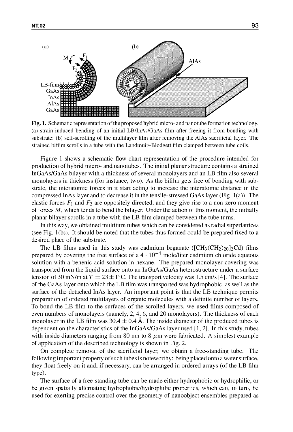

Fig. 1. Schematic representation of the proposed hybrid micro- and nanotube formation technology. (a) strain-induced bending of an initial LB/InAs/GaAs film after freeing it from bonding with substrate; (b) self-scrolling of the multilayer film after removing the AlAs sacrificial layer. The strained bifilm scrolls in a tube with the Landmuir-Blodgett film clamped between tube coils.

Figure 1 shows a schematic flow-chart representation of the procedure intended for production of hybrid micro- and nanotubes. The initial planar structure contains a strained InGaAs/GaAs bilayer with a thickness of several monolayers and an LB film also several monolayers in thickness (for instance, two). As the bifilm gets free of bonding with substrate, the interatomic forces in it start acting to increase the interatomic distance in the compressed InAs layer and to decrease it in the tensile-stressed GaAs layer (Fig. 1 (a)). The elastic forces  $F_1$  and  $F_2$  are oppositely directed, and they give rise to a non-zero moment of forces  $M$ , which tends to bend the bilayer. Under the action of this moment, the initially planar bilayer scrolls in a tube with the LB film clamped between the tube turns.

In this way, we obtained multiturn tubes which can be considered as radial superlattices (see Fig.  $1(b)$ ). It should be noted that the tubes thus formed could be prepared fixed to a desired place of the substrate.

The LB films used in this study was cadmium beganate ( $\text{[CH}_3(\text{CH}_2)_{20}]_2\text{Cd}$ ) films prepared by covering the free surface of a  $4 \cdot 10^{-4}$  mole/liter cadmium chloride aqueous solution with a behenic acid solution in hexane. The prepared monolayer covering was transported from the liquid surface onto an InGaAs/GaAs heterostructure under a surface tension of 30 mN/m at  $T = 23 \pm 1$  °C. The transport velocity was 1.5 cm/s [4]. The surface of the GaAs layer onto which the LB film was transported was hydrophobic, as well as the surface of the detached InAs layer. An important point is that the LB technique permits preparation of ordered multilayers of organic molecules with a definite number of layers. To bond the LB film to the surfaces of the scrolled layers, we used films composed of even numbers of monolayers (namely, 2, 4, 6, and 20 monolayers). The thickness of each monolayer in the LB film was  $30.4 \pm 0.4$  A. The inside diameter of the produced tubes is dependent on the characteristics of the InGaAs/GaAs layer used [1, 21. In this study, tubes with inside diameters ranging from 80 nm to 8  $\mu$ m were fabricated. A simplest example of application of the described technology is shown in Fig. 2.

On complete removal of the sacrificial layer, we obtain a free-standing tube. The following important property of such tubes is noteworthy: being placed onto a water surface, they float freely on it and, if necessary, can be arranged in ordered arrays (of the LB film type).

The surface of a free-standing tube can be made either hydrophobic or hydrophilic, or be given spatially alternating hydrophobic/hydrophilic properties, which can, in turn, be used for exerting precise control over the geometry of nanoobject ensembles prepared as